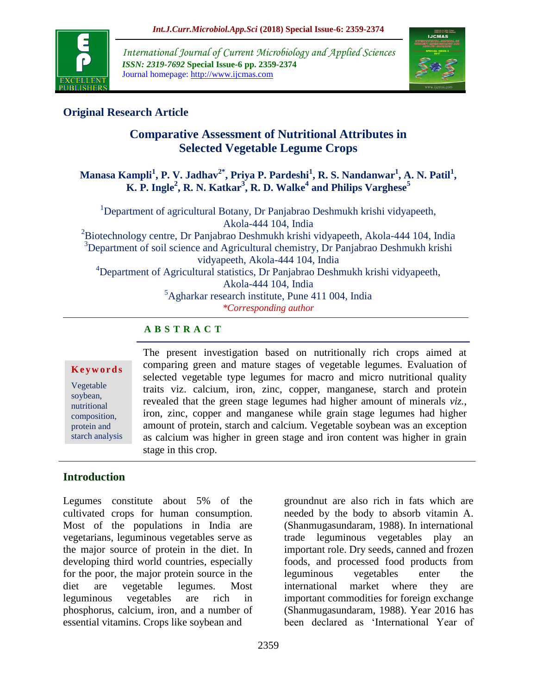

*International Journal of Current Microbiology and Applied Sciences ISSN: 2319-7692* **Special Issue-6 pp. 2359-2374** Journal homepage: http://www.ijcmas.com



## **Original Research Article**

## **Comparative Assessment of Nutritional Attributes in Selected Vegetable Legume Crops**

### **Manasa Kampli<sup>1</sup> , P. V. Jadhav2\*, Priya P. Pardeshi<sup>1</sup> , R. S. Nandanwar<sup>1</sup> , A. N. Patil<sup>1</sup> , K. P. Ingle<sup>2</sup> , R. N. Katkar<sup>3</sup> , R. D. Walke<sup>4</sup> and Philips Varghese<sup>5</sup>**

<sup>1</sup>Department of agricultural Botany, Dr Panjabrao Deshmukh krishi vidyapeeth, Akola-444 104, India <sup>2</sup>Biotechnology centre, Dr Panjabrao Deshmukh krishi vidyapeeth, Akola-444 104, India <sup>3</sup>Department of soil science and Agricultural chemistry, Dr Panjabrao Deshmukh krishi vidyapeeth, Akola-444 104, India <sup>4</sup>Department of Agricultural statistics, Dr Panjabrao Deshmukh krishi vidyapeeth, Akola-444 104, India  ${}^{5}$ Agharkar research institute, Pune 411 004, India *\*Corresponding author*

## **A B S T R A C T**

#### **K e y w o r d s**

Vegetable soybean, nutritional composition, protein and starch analysis The present investigation based on nutritionally rich crops aimed at comparing green and mature stages of vegetable legumes. Evaluation of selected vegetable type legumes for macro and micro nutritional quality traits viz. calcium, iron, zinc, copper, manganese, starch and protein revealed that the green stage legumes had higher amount of minerals *viz.*, iron, zinc, copper and manganese while grain stage legumes had higher amount of protein, starch and calcium. Vegetable soybean was an exception as calcium was higher in green stage and iron content was higher in grain stage in this crop.

## **Introduction**

Legumes constitute about 5% of the cultivated crops for human consumption. Most of the populations in India are vegetarians, leguminous vegetables serve as the major source of protein in the diet. In developing third world countries, especially for the poor, the major protein source in the diet are vegetable legumes. Most leguminous vegetables are rich in phosphorus, calcium, iron, and a number of essential vitamins. Crops like soybean and

groundnut are also rich in fats which are needed by the body to absorb vitamin A. (Shanmugasundaram, 1988). In international trade leguminous vegetables play an important role. Dry seeds, canned and frozen foods, and processed food products from leguminous vegetables enter the international market where they are important commodities for foreign exchange (Shanmugasundaram, 1988). Year 2016 has been declared as "International Year of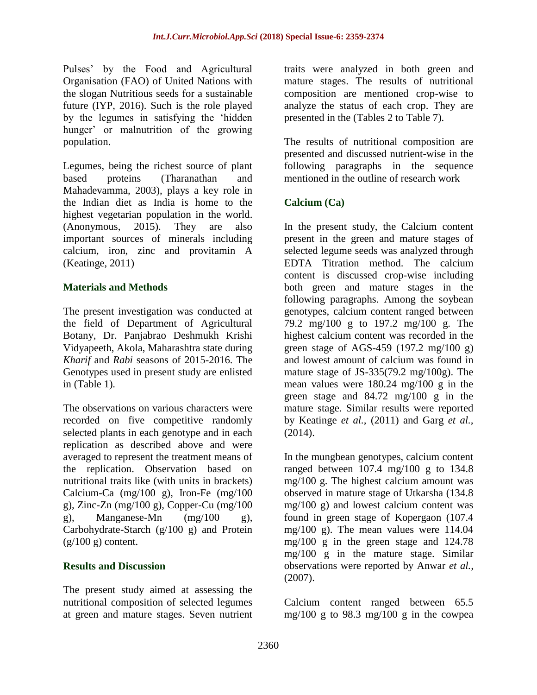Pulses" by the Food and Agricultural Organisation (FAO) of United Nations with the slogan Nutritious seeds for a sustainable future (IYP, 2016). Such is the role played by the legumes in satisfying the "hidden hunger' or malnutrition of the growing population.

Legumes, being the richest source of plant based proteins (Tharanathan and Mahadevamma, 2003), plays a key role in the Indian diet as India is home to the highest vegetarian population in the world. (Anonymous, 2015). They are also important sources of minerals including calcium, iron, zinc and provitamin A (Keatinge, 2011)

### **Materials and Methods**

The present investigation was conducted at the field of Department of Agricultural Botany, Dr. Panjabrao Deshmukh Krishi Vidyapeeth, Akola, Maharashtra state during *Kharif* and *Rabi* seasons of 2015-2016. The Genotypes used in present study are enlisted in (Table 1).

The observations on various characters were recorded on five competitive randomly selected plants in each genotype and in each replication as described above and were averaged to represent the treatment means of the replication. Observation based on nutritional traits like (with units in brackets) Calcium-Ca (mg/100 g), Iron-Fe (mg/100 g), Zinc-Zn (mg/100 g), Copper-Cu (mg/100 g), Manganese-Mn (mg/100 g), Carbohydrate-Starch (g/100 g) and Protein  $(g/100 g)$  content.

### **Results and Discussion**

The present study aimed at assessing the nutritional composition of selected legumes at green and mature stages. Seven nutrient traits were analyzed in both green and mature stages. The results of nutritional composition are mentioned crop-wise to analyze the status of each crop. They are presented in the (Tables 2 to Table 7).

The results of nutritional composition are presented and discussed nutrient-wise in the following paragraphs in the sequence mentioned in the outline of research work

### **Calcium (Ca)**

In the present study, the Calcium content present in the green and mature stages of selected legume seeds was analyzed through EDTA Titration method. The calcium content is discussed crop-wise including both green and mature stages in the following paragraphs. Among the soybean genotypes, calcium content ranged between 79.2 mg/100 g to 197.2 mg/100 g. The highest calcium content was recorded in the green stage of AGS-459 (197.2 mg/100 g) and lowest amount of calcium was found in mature stage of JS-335(79.2 mg/100g). The mean values were 180.24 mg/100 g in the green stage and 84.72 mg/100 g in the mature stage. Similar results were reported by Keatinge *et al.,* (2011) and Garg *et al.,* (2014).

In the mungbean genotypes, calcium content ranged between  $107.4 \text{ mg}/100 \text{ g}$  to  $134.8 \text{ g}$ mg/100 g. The highest calcium amount was observed in mature stage of Utkarsha (134.8 mg/100 g) and lowest calcium content was found in green stage of Kopergaon (107.4 mg/100 g). The mean values were 114.04 mg/100 g in the green stage and 124.78 mg/100 g in the mature stage. Similar observations were reported by Anwar *et al.,* (2007).

Calcium content ranged between 65.5 mg/100 g to 98.3 mg/100 g in the cowpea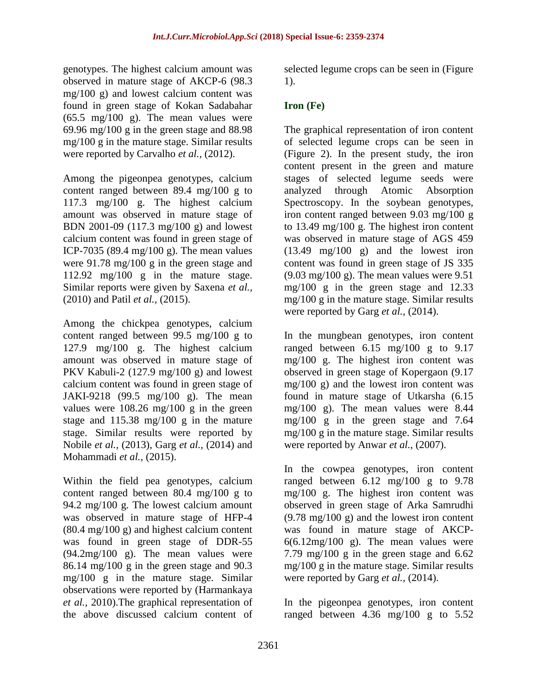genotypes. The highest calcium amount was observed in mature stage of AKCP-6 (98.3 mg/100 g) and lowest calcium content was found in green stage of Kokan Sadabahar  $(65.5 \text{ mg}/100 \text{ g})$ . The mean values were 69.96 mg/100 g in the green stage and 88.98 mg/100 g in the mature stage. Similar results were reported by Carvalho *et al.,* (2012).

Among the pigeonpea genotypes, calcium content ranged between 89.4 mg/100 g to 117.3 mg/100 g. The highest calcium amount was observed in mature stage of BDN 2001-09 (117.3 mg/100 g) and lowest calcium content was found in green stage of ICP-7035 (89.4 mg/100 g). The mean values were 91.78 mg/100 g in the green stage and 112.92 mg/100 g in the mature stage. Similar reports were given by Saxena *et al.,* (2010) and Patil *et al.,* (2015).

Among the chickpea genotypes, calcium content ranged between 99.5 mg/100 g to 127.9 mg/100 g. The highest calcium amount was observed in mature stage of PKV Kabuli-2 (127.9 mg/100 g) and lowest calcium content was found in green stage of JAKI-9218 (99.5 mg/100 g). The mean values were 108.26 mg/100 g in the green stage and 115.38 mg/100 g in the mature stage. Similar results were reported by Nobile *et al.,* (2013), Garg *et al.,* (2014) and Mohammadi *et al.,* (2015).

Within the field pea genotypes, calcium content ranged between 80.4 mg/100 g to 94.2 mg/100 g. The lowest calcium amount was observed in mature stage of HFP-4 (80.4 mg/100 g) and highest calcium content was found in green stage of DDR-55 (94.2mg/100 g). The mean values were 86.14 mg/100 g in the green stage and 90.3 mg/100 g in the mature stage. Similar observations were reported by (Harmankaya *et al.,* 2010).The graphical representation of the above discussed calcium content of

selected legume crops can be seen in (Figure 1).

## **Iron (Fe)**

The graphical representation of iron content of selected legume crops can be seen in (Figure 2). In the present study, the iron content present in the green and mature stages of selected legume seeds were analyzed through Atomic Absorption Spectroscopy. In the soybean genotypes, iron content ranged between 9.03 mg/100 g to 13.49 mg/100 g. The highest iron content was observed in mature stage of AGS 459 (13.49 mg/100 g) and the lowest iron content was found in green stage of JS 335  $(9.03 \text{ mg}/100 \text{ g})$ . The mean values were 9.51 mg/100 g in the green stage and 12.33 mg/100 g in the mature stage. Similar results were reported by Garg *et al.,* (2014).

In the mungbean genotypes, iron content ranged between  $6.15 \text{ mg}/100 \text{ g}$  to  $9.17$ mg/100 g. The highest iron content was observed in green stage of Kopergaon (9.17 mg/100 g) and the lowest iron content was found in mature stage of Utkarsha (6.15 mg/100 g). The mean values were 8.44 mg/100 g in the green stage and 7.64 mg/100 g in the mature stage. Similar results were reported by Anwar *et al.*, (2007).

In the cowpea genotypes, iron content ranged between  $6.12 \text{ mg}/100 \text{ g}$  to  $9.78$ mg/100 g. The highest iron content was observed in green stage of Arka Samrudhi  $(9.78 \text{ mg}/100 \text{ g})$  and the lowest iron content was found in mature stage of AKCP- $6(6.12mg/100g)$ . The mean values were 7.79 mg/100 g in the green stage and 6.62 mg/100 g in the mature stage. Similar results were reported by Garg *et al.,* (2014).

In the pigeonpea genotypes, iron content ranged between  $4.36$  mg/100 g to  $5.52$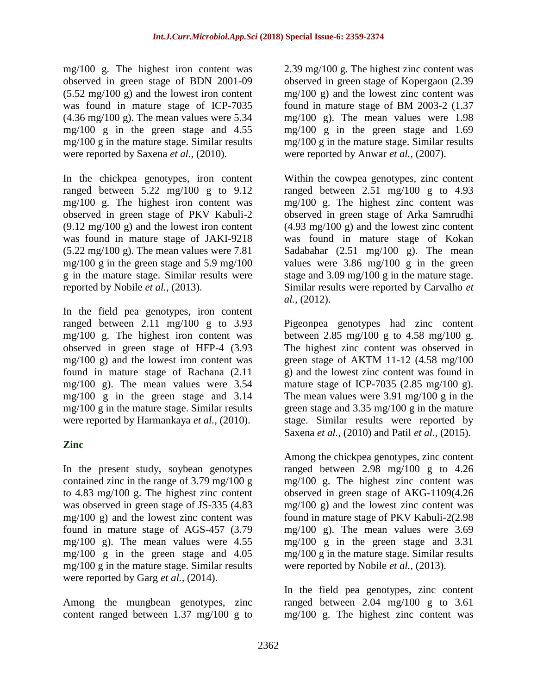mg/100 g. The highest iron content was observed in green stage of BDN 2001-09  $(5.52 \text{ mg}/100 \text{ g})$  and the lowest iron content was found in mature stage of ICP-7035  $(4.36 \text{ mg}/100 \text{ g})$ . The mean values were 5.34 mg/100 g in the green stage and 4.55 mg/100 g in the mature stage. Similar results were reported by Saxena *et al.,* (2010).

In the chickpea genotypes, iron content ranged between 5.22 mg/100 g to 9.12 mg/100 g. The highest iron content was observed in green stage of PKV Kabuli-2  $(9.12 \text{ mg}/100 \text{ g})$  and the lowest iron content was found in mature stage of JAKI-9218  $(5.22 \text{ mg}/100 \text{ g})$ . The mean values were 7.81 mg/100 g in the green stage and 5.9 mg/100 g in the mature stage. Similar results were reported by Nobile *et al.,* (2013).

In the field pea genotypes, iron content ranged between 2.11 mg/100 g to 3.93 mg/100 g. The highest iron content was observed in green stage of HFP-4 (3.93 mg/100 g) and the lowest iron content was found in mature stage of Rachana (2.11 mg/100 g). The mean values were 3.54 mg/100 g in the green stage and 3.14 mg/100 g in the mature stage. Similar results were reported by Harmankaya *et al.,* (2010).

## **Zinc**

In the present study, soybean genotypes contained zinc in the range of 3.79 mg/100 g to 4.83 mg/100 g. The highest zinc content was observed in green stage of JS-335 (4.83  $mg/100$  g) and the lowest zinc content was found in mature stage of AGS-457 (3.79 mg/100 g). The mean values were 4.55 mg/100 g in the green stage and 4.05 mg/100 g in the mature stage. Similar results were reported by Garg *et al.,* (2014).

Among the mungbean genotypes, zinc content ranged between 1.37 mg/100 g to 2.39 mg/100 g. The highest zinc content was observed in green stage of Kopergaon (2.39 mg/100 g) and the lowest zinc content was found in mature stage of BM 2003-2 (1.37 mg/100 g). The mean values were 1.98 mg/100 g in the green stage and 1.69 mg/100 g in the mature stage. Similar results were reported by Anwar *et al.*, (2007).

Within the cowpea genotypes, zinc content ranged between  $2.51 \text{ mg}/100 \text{ g}$  to  $4.93 \text{ g}$ mg/100 g. The highest zinc content was observed in green stage of Arka Samrudhi (4.93 mg/100 g) and the lowest zinc content was found in mature stage of Kokan Sadabahar (2.51 mg/100 g). The mean values were 3.86 mg/100 g in the green stage and 3.09 mg/100 g in the mature stage. Similar results were reported by Carvalho *et al.,* (2012).

Pigeonpea genotypes had zinc content between 2.85 mg/100 g to 4.58 mg/100 g. The highest zinc content was observed in green stage of AKTM 11-12 (4.58 mg/100 g) and the lowest zinc content was found in mature stage of ICP-7035 (2.85 mg/100 g). The mean values were 3.91 mg/100 g in the green stage and 3.35 mg/100 g in the mature stage. Similar results were reported by Saxena *et al.,* (2010) and Patil *et al.,* (2015).

Among the chickpea genotypes, zinc content ranged between 2.98 mg/100 g to 4.26 mg/100 g. The highest zinc content was observed in green stage of AKG-1109(4.26 mg/100 g) and the lowest zinc content was found in mature stage of PKV Kabuli-2(2.98 mg/100 g). The mean values were 3.69 mg/100 g in the green stage and 3.31 mg/100 g in the mature stage. Similar results were reported by Nobile *et al.,* (2013).

In the field pea genotypes, zinc content ranged between  $2.04 \text{ mg}/100 \text{ g}$  to  $3.61$ mg/100 g. The highest zinc content was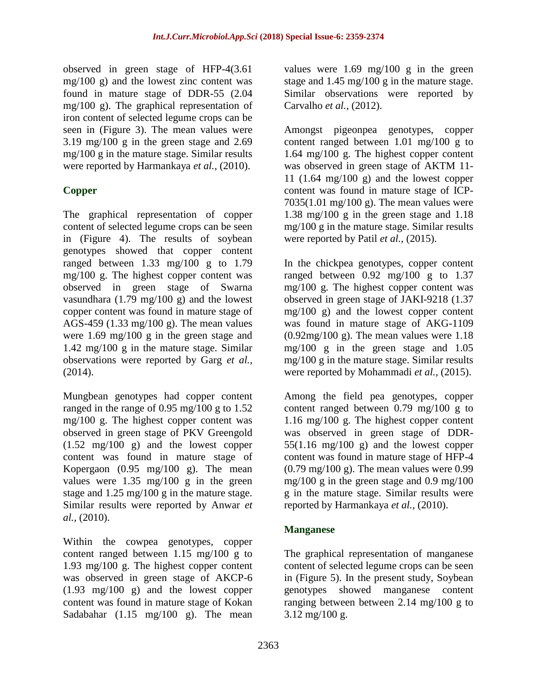observed in green stage of HFP-4(3.61 mg/100 g) and the lowest zinc content was found in mature stage of DDR-55 (2.04 mg/100 g). The graphical representation of iron content of selected legume crops can be seen in (Figure 3). The mean values were 3.19 mg/100 g in the green stage and 2.69 mg/100 g in the mature stage. Similar results were reported by Harmankaya *et al.,* (2010).

## **Copper**

The graphical representation of copper content of selected legume crops can be seen in (Figure 4). The results of soybean genotypes showed that copper content ranged between 1.33 mg/100 g to 1.79 mg/100 g. The highest copper content was observed in green stage of Swarna vasundhara (1.79 mg/100 g) and the lowest copper content was found in mature stage of AGS-459 (1.33 mg/100 g). The mean values were 1.69 mg/100 g in the green stage and 1.42 mg/100 g in the mature stage. Similar observations were reported by Garg *et al.,* (2014).

Mungbean genotypes had copper content ranged in the range of 0.95 mg/100 g to 1.52 mg/100 g. The highest copper content was observed in green stage of PKV Greengold (1.52 mg/100 g) and the lowest copper content was found in mature stage of Kopergaon (0.95 mg/100 g). The mean values were 1.35 mg/100 g in the green stage and 1.25 mg/100 g in the mature stage. Similar results were reported by Anwar *et al.,* (2010).

Within the cowpea genotypes, copper content ranged between 1.15 mg/100 g to 1.93 mg/100 g. The highest copper content was observed in green stage of AKCP-6 (1.93 mg/100 g) and the lowest copper content was found in mature stage of Kokan Sadabahar (1.15 mg/100 g). The mean

values were  $1.69 \text{ mg}/100 \text{ g}$  in the green stage and 1.45 mg/100 g in the mature stage. Similar observations were reported by Carvalho *et al.,* (2012).

Amongst pigeonpea genotypes, copper content ranged between 1.01 mg/100 g to 1.64 mg/100 g. The highest copper content was observed in green stage of AKTM 11- 11 (1.64 mg/100 g) and the lowest copper content was found in mature stage of ICP-7035(1.01 mg/100 g). The mean values were 1.38 mg/100 g in the green stage and 1.18 mg/100 g in the mature stage. Similar results were reported by Patil *et al.,* (2015).

In the chickpea genotypes, copper content ranged between  $0.92 \text{ mg}/100 \text{ g}$  to 1.37 mg/100 g. The highest copper content was observed in green stage of JAKI-9218 (1.37 mg/100 g) and the lowest copper content was found in mature stage of AKG-1109  $(0.92 \text{mg}/100 \text{ g})$ . The mean values were 1.18 mg/100 g in the green stage and 1.05 mg/100 g in the mature stage. Similar results were reported by Mohammadi *et al.*, (2015).

Among the field pea genotypes, copper content ranged between 0.79 mg/100 g to 1.16 mg/100 g. The highest copper content was observed in green stage of DDR- $55(1.16 \text{ mg}/100 \text{ g})$  and the lowest copper content was found in mature stage of HFP-4  $(0.79 \text{ mg}/100 \text{ g})$ . The mean values were 0.99 mg/100 g in the green stage and  $0.9 \text{ mg}/100$ g in the mature stage. Similar results were reported by Harmankaya *et al.,* (2010).

## **Manganese**

The graphical representation of manganese content of selected legume crops can be seen in (Figure 5). In the present study, Soybean genotypes showed manganese content ranging between between 2.14 mg/100 g to 3.12 mg/100 g.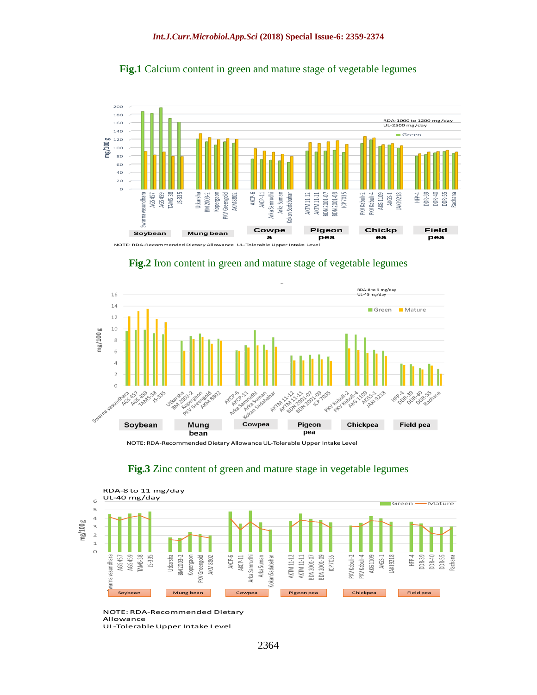











# **Fig.3** Zinc content of green and mature stage in vegetable legumes

NOTE: RDA-Recommended Dietary Allowance UL-Tolerable Upper Intake Level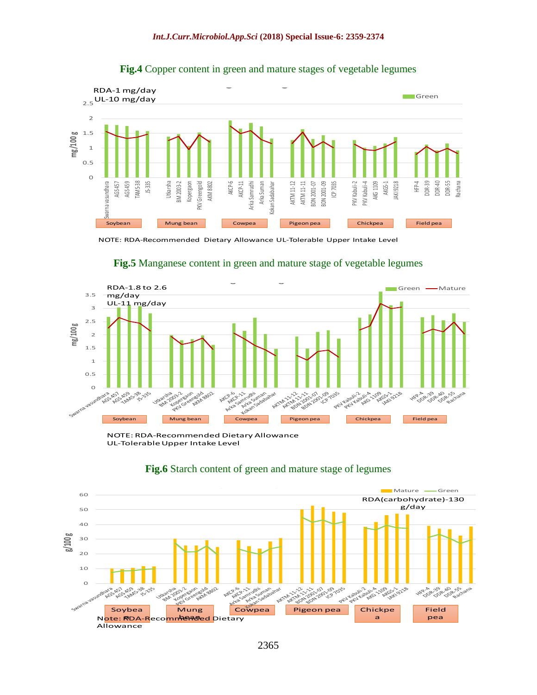

## **Fig.4** Copper content in green and mature stages of vegetable legumes



#### **Fig.5** Manganese content in green and mature stage of vegetable legumes **Fig. 6 Manganese content in green and mature stage of**

NOTE: RDA-Recommended Dietary Allowance UL-Tolerable Upper Intake Level



# **Fig.6** Starch content of green and mature stage of legumes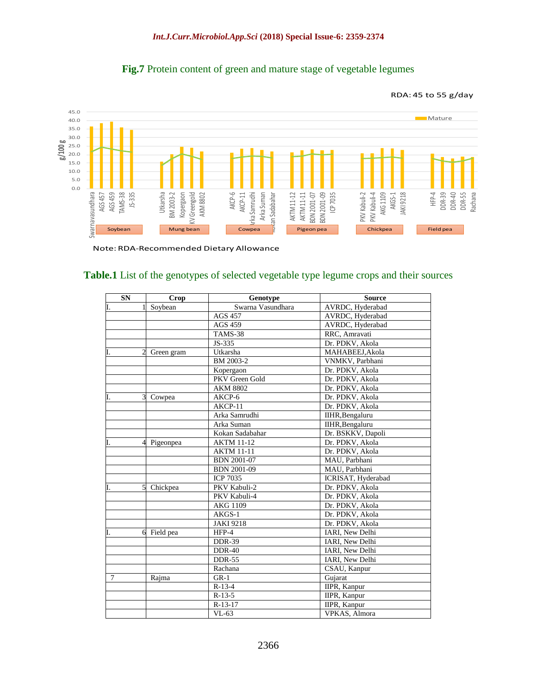

## Fig.7 Protein content of green and mature stage of vegetable legumes

Note: RDA-Recommended Dietary Allowance

#### **Table.1** List of the genotypes of selected vegetable type legume crops and their sources

| <b>SN</b>          | <b>Crop</b>              | Genotype           | <b>Source</b>      |
|--------------------|--------------------------|--------------------|--------------------|
| I.                 | Soybean                  | Swarna Vasundhara  | AVRDC, Hyderabad   |
|                    |                          | <b>AGS 457</b>     | AVRDC, Hyderabad   |
|                    |                          | <b>AGS 459</b>     | AVRDC, Hyderabad   |
|                    |                          | TAMS-38            | RRC, Amravati      |
|                    |                          | JS-335             | Dr. PDKV, Akola    |
| I.                 | Green gram               | Utkarsha           | MAHABEEJ, Akola    |
|                    |                          | BM 2003-2          | VNMKV, Parbhani    |
|                    |                          | Kopergaon          | Dr. PDKV, Akola    |
|                    |                          | PKV Green Gold     | Dr. PDKV, Akola    |
|                    |                          | <b>AKM 8802</b>    | Dr. PDKV, Akola    |
| $\mathbf{3}$<br>Ι. | Cowpea                   | AKCP-6             | Dr. PDKV, Akola    |
|                    |                          | AKCP-11            | Dr. PDKV, Akola    |
|                    |                          | Arka Samrudhi      | IIHR, Bengaluru    |
|                    |                          | Arka Suman         | IIHR, Bengaluru    |
|                    |                          | Kokan Sadabahar    | Dr. BSKKV, Dapoli  |
| I.                 | Pigeonpea                | <b>AKTM 11-12</b>  | Dr. PDKV, Akola    |
|                    |                          | <b>AKTM 11-11</b>  | Dr. PDKV, Akola    |
|                    |                          | <b>BDN 2001-07</b> | MAU, Parbhani      |
|                    |                          | <b>BDN 2001-09</b> | MAU, Parbhani      |
|                    |                          | <b>ICP 7035</b>    | ICRISAT, Hyderabad |
| I.                 | $\mathbf{5}$<br>Chickpea | PKV Kabuli-2       | Dr. PDKV, Akola    |
|                    |                          | PKV Kabuli-4       | Dr. PDKV, Akola    |
|                    |                          | AKG 1109           | Dr. PDKV, Akola    |
|                    |                          | $AKGS-1$           | Dr. PDKV, Akola    |
|                    |                          | <b>JAKI 9218</b>   | Dr. PDKV, Akola    |
| 6<br>I.            | Field pea                | HFP-4              | IARI, New Delhi    |
|                    |                          | <b>DDR-39</b>      | IARI, New Delhi    |
|                    |                          | <b>DDR-40</b>      | IARI, New Delhi    |
|                    |                          | <b>DDR-55</b>      | IARI, New Delhi    |
|                    |                          | Rachana            | CSAU, Kanpur       |
| 7                  | Rajma                    | $GR-1$             | Gujarat            |
|                    |                          | $R-13-4$           | IIPR, Kanpur       |
|                    |                          | $R-13-5$           | IIPR, Kanpur       |
|                    |                          | $R-13-17$          | IIPR, Kanpur       |
|                    |                          | $VL-63$            | VPKAS, Almora      |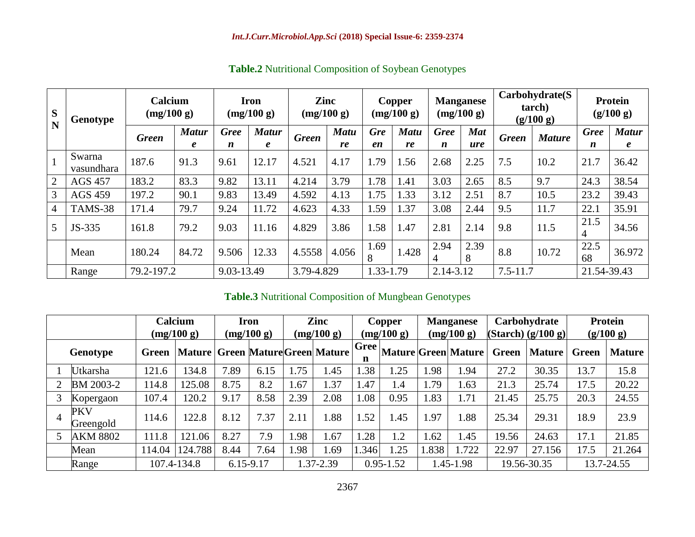| S<br>N         | Genotype             |              | <b>Calcium</b><br>(mg/100 g) |             | <b>Iron</b><br>(mg/100 g) |              | Zinc<br>(mg/100 g) |                  | Copper<br>(mg/100 g) | <b>Manganese</b> | (mg/100 g)        | Carbohydrate(S)<br>tarch)<br>(g/100 g) |               | <b>Protein</b><br>(g/100 g) |                           |
|----------------|----------------------|--------------|------------------------------|-------------|---------------------------|--------------|--------------------|------------------|----------------------|------------------|-------------------|----------------------------------------|---------------|-----------------------------|---------------------------|
|                |                      | <b>Green</b> | <b>Matur</b>                 | <b>Gree</b> | <b>Matur</b>              | <b>Green</b> | <b>Matu</b><br>re  | <b>Gre</b><br>en | <b>Matu</b><br>re    | <b>Gree</b>      | <b>Mat</b><br>ure | <b>Green</b>                           | <b>Mature</b> | <b>Gree</b>                 | <b>Matur</b>              |
| $\mathbf{1}$   | Swarna<br>vasundhara | 187.6        | $\boldsymbol{\ell}$<br>91.3  | n<br>9.61   | $\boldsymbol{e}$<br>12.17 | 4.521        | 4.17               | 1.79             | 1.56                 | n<br>2.68        | 2.25              | 7.5                                    | 10.2          | n<br>21.7                   | $\boldsymbol{e}$<br>36.42 |
| $\overline{2}$ | <b>AGS 457</b>       | 183.2        | 83.3                         | 9.82        | 13.11                     | 4.214        | 3.79               | 1.78             | 1.41                 | 3.03             | 2.65              | 8.5                                    | 9.7           | 24.3                        | 38.54                     |
| 3              | <b>AGS 459</b>       | 197.2        | 90.1                         | 9.83        | 13.49                     | 4.592        | 4.13               | 1.75             | 1.33                 | 3.12             | 2.51              | 8.7                                    | 10.5          | 23.2                        | 39.43                     |
| 4              | TAMS-38              | 171.4        | 79.7                         | 9.24        | 11.72                     | 4.623        | 4.33               | 1.59             | 1.37                 | 3.08             | 2.44              | 9.5                                    | 11.7          | 22.1                        | 35.91                     |
| 5              | JS-335               | 161.8        | 79.2                         | 9.03        | 11.16                     | 4.829        | 3.86               | 1.58             | 1.47                 | 2.81             | 2.14              | 9.8                                    | 11.5          | 21.5<br>4                   | 34.56                     |
|                | Mean                 | 180.24       | 84.72                        | 9.506       | 12.33                     | 4.5558       | 4.056              | 1.69<br>8        | 1.428                | 2.94<br>4        | 2.39<br>8         | 8.8                                    | 10.72         | 22.5<br>68                  | 36.972                    |
|                | Range                | 79.2-197.2   |                              | 9.03-13.49  |                           | 3.79-4.829   |                    | 1.33-1.79        |                      | 2.14-3.12        |                   | $7.5 - 11.7$                           |               | 21.54-39.43                 |                           |

**Table.2** Nutritional Composition of Soybean Genotypes

## **Table.3** Nutritional Composition of Mungbean Genotypes

|   |                         | Calcium     |                                      | Iron      |            |           | Zinc       |                  | Copper     |           | <b>Manganese</b>    |             | Carbohydrate           |            | Protein       |
|---|-------------------------|-------------|--------------------------------------|-----------|------------|-----------|------------|------------------|------------|-----------|---------------------|-------------|------------------------|------------|---------------|
|   |                         |             | (mg/100 g)                           |           | (mg/100 g) |           | (mg/100 g) |                  | (mg/100 g) |           | (mg/100 g)          |             | $(Starch)$ $(g/100 g)$ | (g/100 g)  |               |
|   | Genotype                | Green       | Mature   Green Mature Green   Mature |           |            |           |            | <b>Gree</b><br>n |            |           | Mature Green Mature | Green       | Mature <sup>1</sup>    | Green      | <b>Mature</b> |
|   | Utkarsha                | 121.6       | 134.8                                | 7.89      | 6.15       | 1.75      | .45        | 1.38             | 1.25       | 1.98      | 1.94                | 27.2        | 30.35                  | 13.7       | 15.8          |
| 2 | BM 2003-2               | 114.8       | 125.08                               | 8.75      | 8.2        | 1.67      | .37        | 1.47             | 1.4        | 1.79      | 1.63                | 21.3        | 25.74                  | 17.5       | 20.22         |
| 3 | Kopergaon               | 107.4       | 120.2                                | 9.17      | 8.58       | 2.39      | 2.08       | 1.08             | 0.95       | 1.83      | 71                  | 21.45       | 25.75                  | 20.3       | 24.55         |
| 4 | <b>PKV</b><br>Greengold | 114.6       | 122.8                                | 8.12      | 7.37       | 2.11      | .88        | 1.52             | 1.45       | .97       | 1.88                | 25.34       | 29.31                  | 18.9       | 23.9          |
| 5 | <b>AKM 8802</b>         | 111.8       | 121.06                               | 8.27      | 7.9        | .98       | 67         | .28              | 1.2        | 1.62      | 1.45                | 19.56       | 24.63                  | 17.1       | 21.85         |
|   | Mean                    | 114.04      | 124.788                              | 8.44      | 7.64       | 1.98      | 1.69       | 1.346            | 1.25       | 1.838     | 1.722               | 22.97       | 27.156                 | 17.5       | 21.264        |
|   | Range                   | 107.4-134.8 |                                      | 6.15-9.17 |            | 1.37-2.39 |            | $0.95 - 1.52$    |            | 1.45-1.98 |                     | 19.56-30.35 |                        | 13.7-24.55 |               |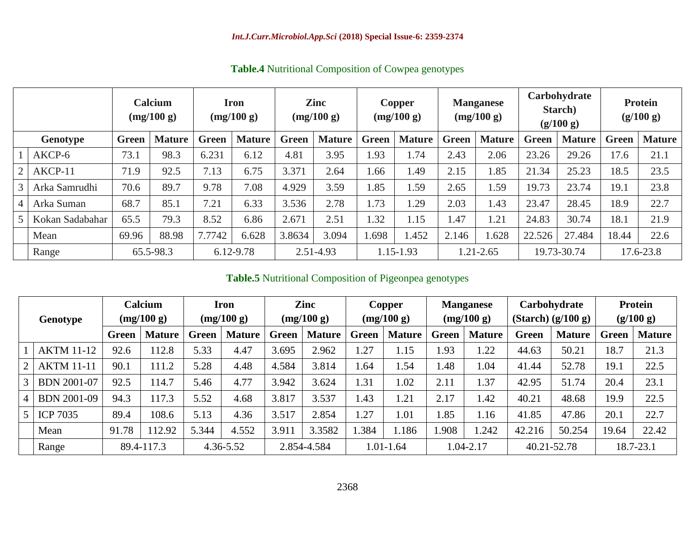|          | <b>Calcium</b><br>(mg/100 g) |              | <b>Iron</b><br>(mg/100 g) |              | <b>Zinc</b><br>(mg/100 g) |              |               | Copper<br>(mg/100 g) |               | <b>Manganese</b><br>(mg/100 g) |               | Carbohydrate<br>Starch)<br>(g/100 g) | <b>Protein</b><br>(g/100 g) |           |               |
|----------|------------------------------|--------------|---------------------------|--------------|---------------------------|--------------|---------------|----------------------|---------------|--------------------------------|---------------|--------------------------------------|-----------------------------|-----------|---------------|
| Genotype |                              | <b>Green</b> | <b>Mature</b>             | <b>Green</b> | <b>Mature</b>             | <b>Green</b> | <b>Mature</b> | <b>Green</b>         | <b>Mature</b> | <b>Green</b>                   | <b>Mature</b> | <b>Green</b>                         | <b>Mature</b>               | Green     | <b>Mature</b> |
|          | AKCP-6                       | 73.1         | 98.3                      | 6.231        | 6.12                      | 4.81         | 3.95          | 1.93                 | 1.74          | 2.43                           | 2.06          | 23.26                                | 29.26                       | 17.6      | 21.1          |
|          | AKCP-11                      | 71.9         | 92.5                      | 7.13         | 6.75                      | 3.371        | 2.64          | 1.66                 | 1.49          | 2.15                           | 1.85          | 21.34                                | 25.23                       | 18.5      | 23.5          |
|          | Arka Samrudhi                | 70.6         | 89.7                      | 9.78         | 7.08                      | 4.929        | 3.59          | 1.85                 | 1.59          | 2.65                           | 1.59          | 19.73                                | 23.74                       | 19.1      | 23.8          |
|          | Arka Suman                   | 68.7         | 85.1                      | 7.21         | 6.33                      | 3.536        | 2.78          | 1.73                 | 1.29          | 2.03                           | 1.43          | 23.47                                | 28.45                       | 18.9      | 22.7          |
|          | Kokan Sadabahar              | 65.5         | 79.3                      | 8.52         | 6.86                      | 2.671        | 2.51          | 1.32                 | 1.15          | .47                            | 1.21          | 24.83                                | 30.74                       | 18.1      | 21.9          |
|          | Mean                         | 69.96        | 88.98                     | 7.7742       | 6.628                     | 3.8634       | 3.094         | 1.698                | 1.452         | 2.146                          | 1.628         | 22.526                               | 27.484                      | 18.44     | 22.6          |
|          | Range                        | 65.5-98.3    |                           | 6.12-9.78    |                           | 2.51-4.93    |               | 1.15-1.93            |               | 1.21-2.65                      |               | 19.73-30.74                          |                             | 17.6-23.8 |               |

**Table.4** Nutritional Composition of Cowpea genotypes

**Table.5** Nutritional Composition of Pigeonpea genotypes

|                |                    | Calcium    |               |              | Iron          |             | Zinc          |              | Copper        |              | <b>Manganese</b> |             | Carbohydrate           | <b>Protein</b> |               |
|----------------|--------------------|------------|---------------|--------------|---------------|-------------|---------------|--------------|---------------|--------------|------------------|-------------|------------------------|----------------|---------------|
|                | Genotype           |            | (mg/100 g)    |              | (mg/100 g)    |             | (mg/100 g)    |              | (mg/100 g)    |              | (mg/100 g)       |             | $(Starch)$ $(g/100 g)$ | (g/100 g)      |               |
|                |                    | Green      | <b>Mature</b> | <b>Green</b> | <b>Mature</b> | Green       | <b>Mature</b> | <b>Green</b> | <b>Mature</b> | <b>Green</b> | <b>Mature</b>    | Green       | <b>Mature</b>          | Green          | <b>Mature</b> |
|                | <b>AKTM 11-12</b>  | 92.6       | 112.8         | 5.33         | 4.47          | 3.695       | 2.962         | .27          | 1.15          | 1.93         | 1.22             | 44.63       | 50.21                  | 18.7           | 21.3          |
| 2              | <b>AKTM 11-11</b>  | 90.1       | 111.2         | 5.28         | 4.48          | 4.584       | 3.814         | 1.64         | 1.54          | l.48         | 1.04             | 41.44       | 52.78                  | 19.1           | 22.5          |
| 3              | <b>BDN 2001-07</b> | 92.5       | 114.7         | 5.46         | 4.77          | 3.942       | 3.624         | 1.31         | 1.02          | 2.11         | 1.37             | 42.95       | 51.74                  | 20.4           | 23.1          |
| $\overline{4}$ | <b>BDN 2001-09</b> | 94.3       | 117.3         | 5.52         | 4.68          | 3.817       | 3.537         | .43          | 1.21          | 2.17         | 1.42             | 40.21       | 48.68                  | 19.9           | 22.5          |
|                | <b>ICP 7035</b>    | 89.4       | 108.6         | 5.13         | 4.36          | 3.517       | 2.854         | .27          | 1.01          | 1.85         | 1.16             | 41.85       | 47.86                  | 20.1           | 22.7          |
|                | Mean               | 91.78      | 112.92        | 5.344        | 4.552         | 3.91        | 3.3582        | .384         | 1.186         | .908         | 1.242            | 42.216      | 50.254                 | 19.64          | 22.42         |
|                | Range              | 89.4-117.3 |               | 4.36-5.52    |               | 2.854-4.584 |               | 1.01-1.64    |               | 1.04-2.17    |                  | 40.21-52.78 |                        | 18.7-23.1      |               |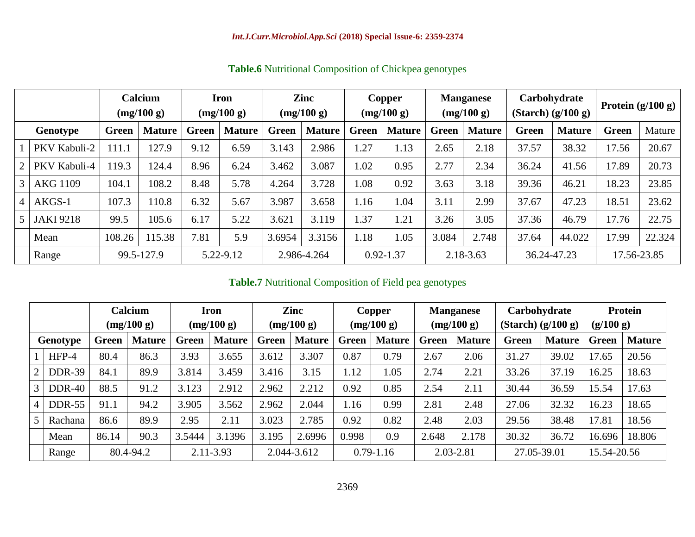|                |                  | Calcium<br>(mg/100 g) |               | <b>Iron</b><br>(mg/100 g) |               | Zinc<br>(mg/100 g) |               |               | Copper<br>(mg/100 g) |              | <b>Manganese</b><br>(mg/100 g) | Carbohydrate<br>$(Starch)$ $(g/100 g)$ |               | Protein $(g/100 g)$ |        |
|----------------|------------------|-----------------------|---------------|---------------------------|---------------|--------------------|---------------|---------------|----------------------|--------------|--------------------------------|----------------------------------------|---------------|---------------------|--------|
| Genotype       |                  | <b>Green</b>          | <b>Mature</b> | Green                     | <b>Mature</b> | Green              | <b>Mature</b> | <b>Green</b>  | <b>Mature</b>        | <b>Green</b> | <b>Mature</b>                  | <b>Green</b>                           | <b>Mature</b> | Green               | Mature |
|                | PKV Kabuli-2     | 111.1                 | 127.9         | 9.12                      | 6.59          | 3.143              | 2.986         | 1.27          | 1.13                 | 2.65         | 2.18                           | 37.57                                  | 38.32         | 17.56               | 20.67  |
| $\overline{2}$ | PKV Kabuli-4     | 119.3                 | 124.4         | 8.96                      | 6.24          | 3.462              | 3.087         | 1.02          | 0.95                 | 2.77         | 2.34                           | 36.24                                  | 41.56         | 17.89               | 20.73  |
| $\mathcal{E}$  | <b>AKG 1109</b>  | 104.1                 | 108.2         | 8.48                      | 5.78          | 4.264              | 3.728         | 1.08          | 0.92                 | 3.63         | 3.18                           | 39.36                                  | 46.21         | 18.23               | 23.85  |
| 4              | AKGS-1           | 107.3                 | 110.8         | 6.32                      | 5.67          | 3.987              | 3.658         | 1.16          | 1.04                 | 3.11         | 2.99                           | 37.67                                  | 47.23         | 18.51               | 23.62  |
| 5              | <b>JAKI 9218</b> | 99.5                  | 105.6         | 6.17                      | 5.22          | 3.621              | 3.119         | 1.37          | 1.21                 | 3.26         | 3.05                           | 37.36                                  | 46.79         | 17.76               | 22.75  |
|                | Mean             | 108.26                | 15.38         | 7.81                      | 5.9           | 3.6954             | 3.3156        | 1.18          | 1.05                 | 3.084        | 2.748                          | 37.64                                  | 44.022        | 17.99               | 22.324 |
|                | Range            | 99.5-127.9            |               | 5.22-9.12                 |               | 2.986-4.264        |               | $0.92 - 1.37$ |                      | 2.18-3.63    |                                | 36.24-47.23                            |               | 17.56-23.85         |        |

**Table.6** Nutritional Composition of Chickpea genotypes

## **Table.7** Nutritional Composition of Field pea genotypes

|                |               | Calcium<br>(mg/100 g) |               | <b>Iron</b><br>(mg/100 g) |               | Zinc<br>(mg/100 g) |               |              | Copper<br>(mg/100 g) |              | <b>Manganese</b><br>(mg/100 g) | Carbohydrate<br>$(Starch)$ $(g/100 g)$ |               | Protein<br>(g/100 g) |               |
|----------------|---------------|-----------------------|---------------|---------------------------|---------------|--------------------|---------------|--------------|----------------------|--------------|--------------------------------|----------------------------------------|---------------|----------------------|---------------|
|                | Genotype      | <b>Green</b>          | <b>Mature</b> | Green                     | <b>Mature</b> | Green              | <b>Mature</b> | <b>Green</b> | <b>Mature</b>        | <b>Green</b> | <b>Mature</b>                  | <b>Green</b>                           | <b>Mature</b> | <b>Green</b>         | <b>Mature</b> |
|                | HFP-4         | 80.4                  | 86.3          | 3.93                      | 3.655         | 3.612              | 3.307         | 0.87         | 0.79                 | 2.67         | 2.06                           | 31.27                                  | 39.02         | 17.65                | 20.56         |
| $\overline{2}$ | <b>DDR-39</b> | 84.1                  | 89.9          | 3.814                     | 3.459         | 3.416              | 3.15          | 1.12         | l.05                 | 2.74         | 2.21                           | 33.26                                  | 37.19         | 16.25                | 18.63         |
| 3              | <b>DDR-40</b> | 88.5                  | 91.2          | 3.123                     | 2.912         | 2.962              | 2.212         | 0.92         | 0.85                 | 2.54         | 2.11                           | 30.44                                  | 36.59         | 15.54                | 17.63         |
| $\overline{4}$ | <b>DDR-55</b> | 91.1                  | 94.2          | 3.905                     | 3.562         | 2.962              | 2.044         | 1.16         | 0.99                 | 2.81         | 2.48                           | 27.06                                  | 32.32         | 16.23                | 18.65         |
| $5^{\circ}$    | Rachana       | 86.6                  | 89.9          | 2.95                      | 2.11          | 3.023              | 2.785         | 0.92         | 0.82                 | 2.48         | 2.03                           | 29.56                                  | 38.48         | 17.81                | 18.56         |
|                | Mean          | 86.14                 | 90.3          | 3.5444                    | 3.1396        | 3.195              | 2.6996        | 0.998        | 0.9                  | 2.648        | 2.178                          | 30.32                                  | 36.72         | 16.696               | 18.806        |
|                | Range         | 80.4-94.2             |               | 2.11-3.93                 |               | 2.044-3.612        | $0.79 - 1.16$ |              | 2.03-2.81            |              | 27.05-39.01                    |                                        | 15.54-20.56   |                      |               |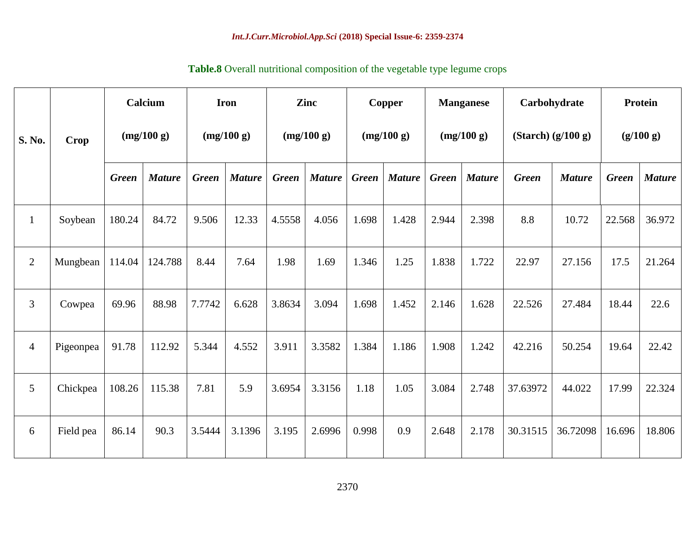|                |             |              | Calcium       | <b>Iron</b>  |               |              | Zinc          |              | <b>Copper</b> |              | <b>Manganese</b> | Carbohydrate           |               | Protein      |               |
|----------------|-------------|--------------|---------------|--------------|---------------|--------------|---------------|--------------|---------------|--------------|------------------|------------------------|---------------|--------------|---------------|
| S. No.         | <b>Crop</b> | (mg/100 g)   |               | (mg/100 g)   |               | (mg/100 g)   |               |              | (mg/100 g)    |              | (mg/100 g)       | $(Starch)$ $(g/100 g)$ |               | (g/100 g)    |               |
|                |             | <b>Green</b> | <b>Mature</b> | <b>Green</b> | <b>Mature</b> | <b>Green</b> | <b>Mature</b> | <b>Green</b> | <b>Mature</b> | <b>Green</b> | <b>Mature</b>    | <b>Green</b>           | <b>Mature</b> | <b>Green</b> | <b>Mature</b> |
| $\mathbf{1}$   | Soybean     | 180.24       | 84.72         | 9.506        | 12.33         | 4.5558       | 4.056         | 1.698        | 1.428         | 2.944        | 2.398            | 8.8                    | 10.72         | 22.568       | 36.972        |
| 2              | Mungbean    | 114.04       | 124.788       | 8.44         | 7.64          | 1.98         | 1.69          | 1.346        | 1.25          | 1.838        | 1.722            | 22.97                  | 27.156        | 17.5         | 21.264        |
| $\mathfrak{Z}$ | Cowpea      | 69.96        | 88.98         | 7.7742       | 6.628         | 3.8634       | 3.094         | 1.698        | 1.452         | 2.146        | 1.628            | 22.526                 | 27.484        | 18.44        | 22.6          |
| $\overline{4}$ | Pigeonpea   | 91.78        | 112.92        | 5.344        | 4.552         | 3.911        | 3.3582        | 1.384        | 1.186         | 1.908        | 1.242            | 42.216                 | 50.254        | 19.64        | 22.42         |
| $\overline{5}$ | Chickpea    | 108.26       | 115.38        | 7.81         | 5.9           | 3.6954       | 3.3156        | 1.18         | 1.05          | 3.084        | 2.748            | 37.63972               | 44.022        | 17.99        | 22.324        |
| 6              | Field pea   | 86.14        | 90.3          | 3.5444       | 3.1396        | 3.195        | 2.6996        | 0.998        | 0.9           | 2.648        | 2.178            | 30.31515               | 36.72098      | 16.696       | 18.806        |

## **Table.8** Overall nutritional composition of the vegetable type legume crops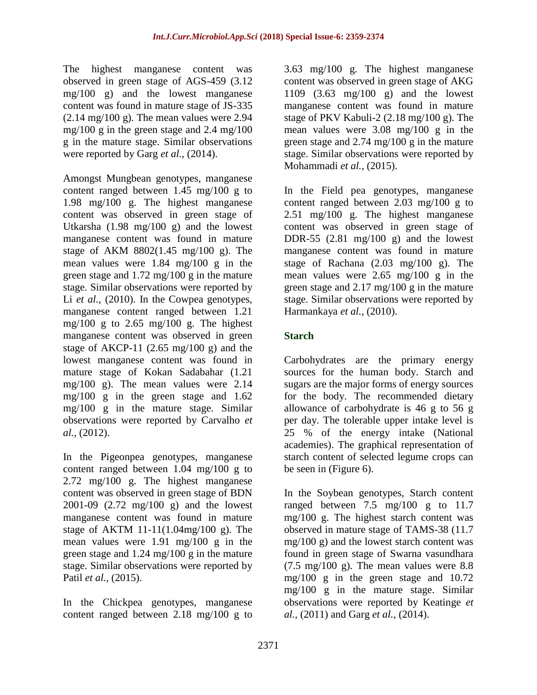The highest manganese content was observed in green stage of AGS-459 (3.12 mg/100 g) and the lowest manganese content was found in mature stage of JS-335  $(2.14 \text{ mg}/100 \text{ g})$ . The mean values were 2.94 mg/100 g in the green stage and 2.4 mg/100 g in the mature stage. Similar observations were reported by Garg *et al.,* (2014).

Amongst Mungbean genotypes, manganese content ranged between 1.45 mg/100 g to 1.98 mg/100 g. The highest manganese content was observed in green stage of Utkarsha (1.98 mg/100 g) and the lowest manganese content was found in mature stage of AKM 8802(1.45 mg/100 g). The mean values were 1.84 mg/100 g in the green stage and 1.72 mg/100 g in the mature stage. Similar observations were reported by Li *et al.,* (2010). In the Cowpea genotypes, manganese content ranged between 1.21 mg/100 g to 2.65 mg/100 g. The highest manganese content was observed in green stage of AKCP-11  $(2.65 \text{ mg}/100 \text{ g})$  and the lowest manganese content was found in mature stage of Kokan Sadabahar (1.21 mg/100 g). The mean values were 2.14 mg/100 g in the green stage and 1.62 mg/100 g in the mature stage. Similar observations were reported by Carvalho *et al.,* (2012).

In the Pigeonpea genotypes, manganese content ranged between 1.04 mg/100 g to 2.72 mg/100 g. The highest manganese content was observed in green stage of BDN 2001-09 (2.72 mg/100 g) and the lowest manganese content was found in mature stage of AKTM 11-11(1.04mg/100 g). The mean values were 1.91 mg/100 g in the green stage and 1.24 mg/100 g in the mature stage. Similar observations were reported by Patil *et al.,* (2015).

In the Chickpea genotypes, manganese content ranged between 2.18 mg/100 g to 3.63 mg/100 g. The highest manganese content was observed in green stage of AKG 1109 (3.63 mg/100 g) and the lowest manganese content was found in mature stage of PKV Kabuli-2 (2.18 mg/100 g). The mean values were 3.08 mg/100 g in the green stage and 2.74 mg/100 g in the mature stage. Similar observations were reported by Mohammadi *et al.,* (2015).

In the Field pea genotypes, manganese content ranged between 2.03 mg/100 g to 2.51 mg/100 g. The highest manganese content was observed in green stage of DDR-55  $(2.81 \text{ mg}/100 \text{ g})$  and the lowest manganese content was found in mature stage of Rachana (2.03 mg/100 g). The mean values were 2.65 mg/100 g in the green stage and 2.17 mg/100 g in the mature stage. Similar observations were reported by Harmankaya *et al.,* (2010).

### **Starch**

Carbohydrates are the primary energy sources for the human body. Starch and sugars are the major forms of energy sources for the body. The recommended dietary allowance of carbohydrate is 46 g to 56 g per day. The tolerable upper intake level is 25 % of the energy intake (National academies). The graphical representation of starch content of selected legume crops can be seen in (Figure 6).

In the Soybean genotypes, Starch content ranged between 7.5 mg/100 g to 11.7 mg/100 g. The highest starch content was observed in mature stage of TAMS-38 (11.7 mg/100 g) and the lowest starch content was found in green stage of Swarna vasundhara  $(7.5 \text{ mg}/100 \text{ g})$ . The mean values were 8.8 mg/100 g in the green stage and 10.72 mg/100 g in the mature stage. Similar observations were reported by Keatinge *et al.,* (2011) and Garg *et al.,* (2014).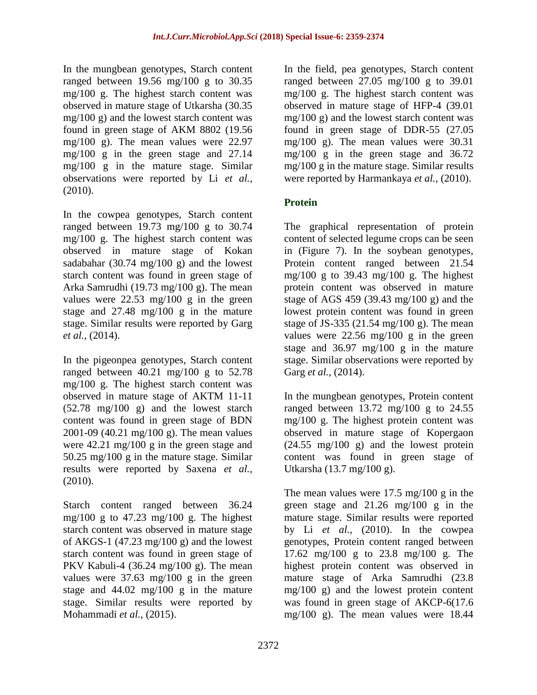In the mungbean genotypes, Starch content ranged between 19.56 mg/100 g to 30.35 mg/100 g. The highest starch content was observed in mature stage of Utkarsha (30.35 mg/100 g) and the lowest starch content was found in green stage of AKM 8802 (19.56 mg/100 g). The mean values were 22.97 mg/100 g in the green stage and 27.14 mg/100 g in the mature stage. Similar observations were reported by Li *et al.,* (2010).

In the cowpea genotypes, Starch content ranged between 19.73 mg/100 g to 30.74 mg/100 g. The highest starch content was observed in mature stage of Kokan sadabahar (30.74 mg/100 g) and the lowest starch content was found in green stage of Arka Samrudhi (19.73 mg/100 g). The mean values were 22.53 mg/100 g in the green stage and 27.48 mg/100 g in the mature stage. Similar results were reported by Garg *et al.,* (2014).

In the pigeonpea genotypes, Starch content ranged between 40.21 mg/100 g to 52.78 mg/100 g. The highest starch content was observed in mature stage of AKTM 11-11 (52.78 mg/100 g) and the lowest starch content was found in green stage of BDN 2001-09 (40.21 mg/100 g). The mean values were 42.21 mg/100 g in the green stage and 50.25 mg/100 g in the mature stage. Similar results were reported by Saxena *et al.,* (2010).

Starch content ranged between 36.24 mg/100 g to 47.23 mg/100 g. The highest starch content was observed in mature stage of AKGS-1 (47.23 mg/100 g) and the lowest starch content was found in green stage of PKV Kabuli-4 (36.24 mg/100 g). The mean values were 37.63 mg/100 g in the green stage and 44.02 mg/100 g in the mature stage. Similar results were reported by Mohammadi *et al.,* (2015).

In the field, pea genotypes, Starch content ranged between 27.05 mg/100 g to 39.01 mg/100 g. The highest starch content was observed in mature stage of HFP-4 (39.01 mg/100 g) and the lowest starch content was found in green stage of DDR-55 (27.05 mg/100 g). The mean values were 30.31 mg/100 g in the green stage and 36.72 mg/100 g in the mature stage. Similar results were reported by Harmankaya *et al.,* (2010).

## **Protein**

The graphical representation of protein content of selected legume crops can be seen in (Figure 7). In the soybean genotypes, Protein content ranged between 21.54 mg/100 g to 39.43 mg/100 g. The highest protein content was observed in mature stage of AGS 459 (39.43 mg/100 g) and the lowest protein content was found in green stage of JS-335 (21.54 mg/100 g). The mean values were 22.56 mg/100 g in the green stage and 36.97 mg/100 g in the mature stage. Similar observations were reported by Garg *et al.,* (2014).

In the mungbean genotypes, Protein content ranged between  $13.72 \text{ mg}/100 \text{ g}$  to  $24.55$ mg/100 g. The highest protein content was observed in mature stage of Kopergaon (24.55 mg/100 g) and the lowest protein content was found in green stage of Utkarsha (13.7 mg/100 g).

The mean values were  $17.5 \text{ mg}/100 \text{ g}$  in the green stage and 21.26 mg/100 g in the mature stage. Similar results were reported by Li *et al.,* (2010). In the cowpea genotypes, Protein content ranged between 17.62 mg/100 g to 23.8 mg/100 g. The highest protein content was observed in mature stage of Arka Samrudhi (23.8 mg/100 g) and the lowest protein content was found in green stage of AKCP-6(17.6 mg/100 g). The mean values were 18.44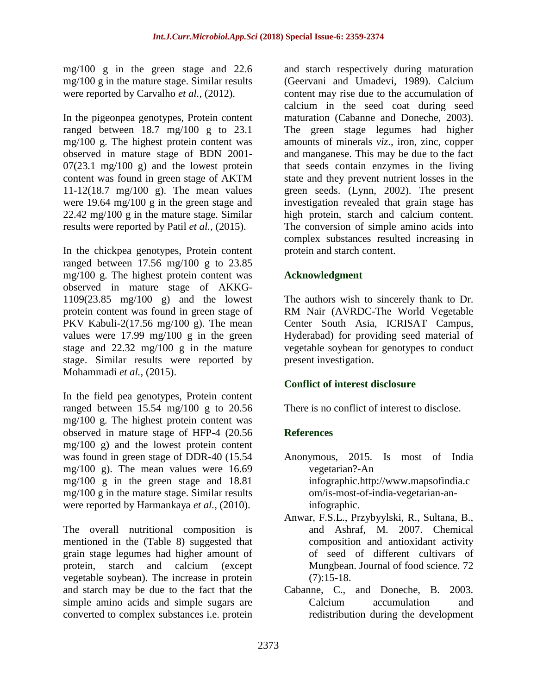mg/100 g in the green stage and 22.6 mg/100 g in the mature stage. Similar results were reported by Carvalho *et al.,* (2012).

In the pigeonpea genotypes, Protein content ranged between 18.7 mg/100 g to 23.1 mg/100 g. The highest protein content was observed in mature stage of BDN 2001-  $07(23.1 \text{ mg}/100 \text{ g})$  and the lowest protein content was found in green stage of AKTM 11-12(18.7 mg/100 g). The mean values were 19.64 mg/100 g in the green stage and 22.42 mg/100 g in the mature stage. Similar results were reported by Patil *et al.,* (2015).

In the chickpea genotypes, Protein content ranged between 17.56 mg/100 g to 23.85 mg/100 g. The highest protein content was observed in mature stage of AKKG-1109(23.85 mg/100 g) and the lowest protein content was found in green stage of PKV Kabuli-2(17.56 mg/100 g). The mean values were 17.99 mg/100 g in the green stage and 22.32 mg/100 g in the mature stage. Similar results were reported by Mohammadi *et al.,* (2015).

In the field pea genotypes, Protein content ranged between 15.54 mg/100 g to 20.56 mg/100 g. The highest protein content was observed in mature stage of HFP-4 (20.56 mg/100 g) and the lowest protein content was found in green stage of DDR-40 (15.54 mg/100 g). The mean values were 16.69 mg/100 g in the green stage and 18.81 mg/100 g in the mature stage. Similar results were reported by Harmankaya *et al.,* (2010).

The overall nutritional composition is mentioned in the (Table 8) suggested that grain stage legumes had higher amount of protein, starch and calcium (except vegetable soybean). The increase in protein and starch may be due to the fact that the simple amino acids and simple sugars are converted to complex substances i.e. protein

and starch respectively during maturation (Geervani and Umadevi, 1989). Calcium content may rise due to the accumulation of calcium in the seed coat during seed maturation (Cabanne and Doneche, 2003). The green stage legumes had higher amounts of minerals *viz*., iron, zinc, copper and manganese. This may be due to the fact that seeds contain enzymes in the living state and they prevent nutrient losses in the green seeds. (Lynn, 2002). The present investigation revealed that grain stage has high protein, starch and calcium content. The conversion of simple amino acids into complex substances resulted increasing in protein and starch content.

## **Acknowledgment**

The authors wish to sincerely thank to Dr. RM Nair (AVRDC-The World Vegetable Center South Asia, ICRISAT Campus, Hyderabad) for providing seed material of vegetable soybean for genotypes to conduct present investigation.

## **Conflict of interest disclosure**

There is no conflict of interest to disclose.

## **References**

- Anonymous, 2015. Is most of India vegetarian?-An infographic[.http://www.mapsofindia.c](http://www.mapsofindia.com/is-most-of-india-vegetarian-an-infographic) [om/is-most-of-india-vegetarian-an](http://www.mapsofindia.com/is-most-of-india-vegetarian-an-infographic)[infographic.](http://www.mapsofindia.com/is-most-of-india-vegetarian-an-infographic)
- Anwar, F.S.L., Przybyylski, R., Sultana, B., and Ashraf, M. 2007. Chemical composition and antioxidant activity of seed of different cultivars of Mungbean. Journal of food science. 72  $(7):15-18.$
- Cabanne, C., and Doneche, B. 2003. Calcium accumulation and redistribution during the development